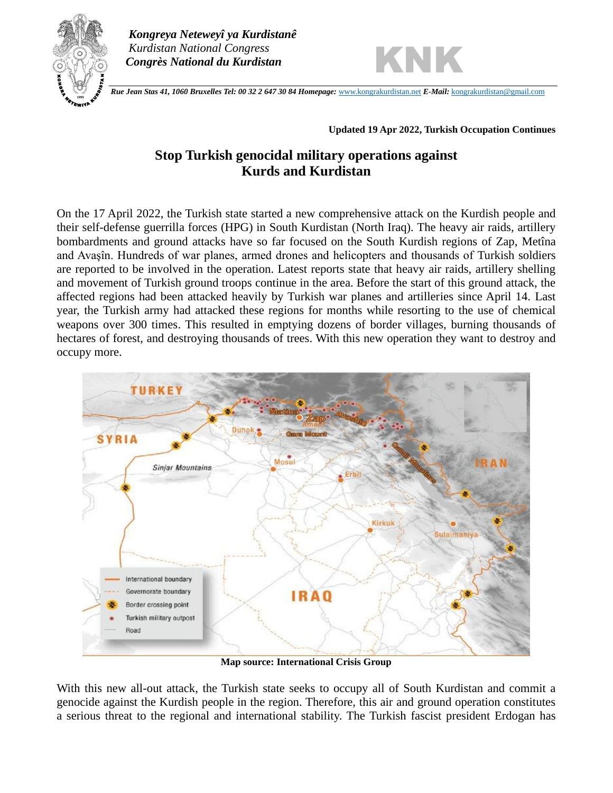

 *Kongreya Neteweyî ya Kurdistanê Kurdistan National Congress Congrès National du Kurdistan*



 *Rue Jean Stas 41, 1060 Bruxelles Tel: 00 32 2 647 30 84 Homepage:* [www.kongrakurdistan.net](http://www.kongrakurdistan.net/) *E-Mail:* [kongrakurdistan@gmail.com](mailto:kongrakurdistan@gmail.com) **<sup>1999</sup>**

### **Updated 19 Apr 2022, Turkish Occupation Continues**

# **Stop Turkish genocidal military operations against Kurds and Kurdistan**

On the 17 April 2022, the Turkish state started a new comprehensive attack on the Kurdish people and their self-defense guerrilla forces (HPG) in South Kurdistan (North Iraq). The heavy air raids, artillery bombardments and ground attacks have so far focused on the South Kurdish regions of Zap, Metîna and Avaşîn. Hundreds of war planes, armed drones and helicopters and thousands of Turkish soldiers are reported to be involved in the operation. Latest reports state that heavy air raids, artillery shelling and movement of Turkish ground troops continue in the area. Before the start of this ground attack, the affected regions had been attacked heavily by Turkish war planes and artilleries since April 14. Last year, the Turkish army had attacked these regions for months while resorting to the use of chemical weapons over 300 times. This resulted in emptying dozens of border villages, burning thousands of hectares of forest, and destroying thousands of trees. With this new operation they want to destroy and occupy more.



**Map source: International Crisis Group**

With this new all-out attack, the Turkish state seeks to occupy all of South Kurdistan and commit a genocide against the Kurdish people in the region. Therefore, this air and ground operation constitutes a serious threat to the regional and international stability. The Turkish fascist president Erdogan has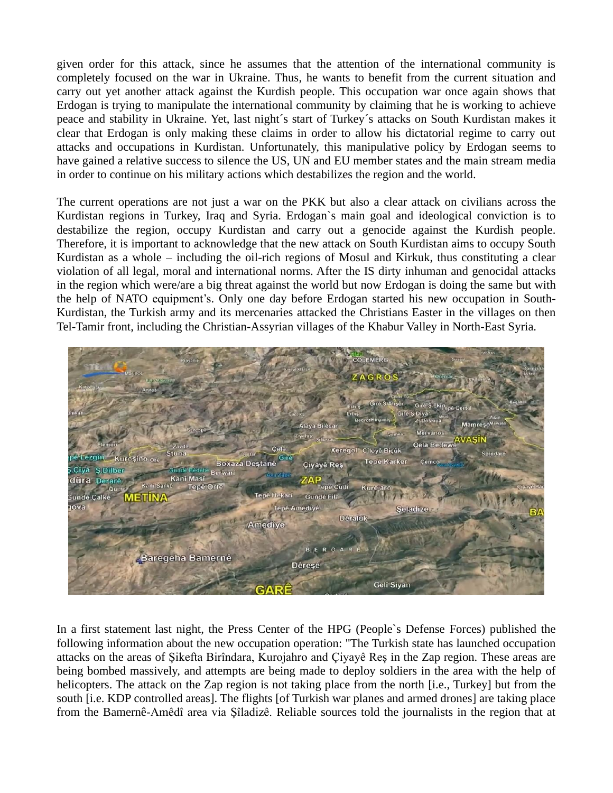given order for this attack, since he assumes that the attention of the international community is completely focused on the war in Ukraine. Thus, he wants to benefit from the current situation and carry out yet another attack against the Kurdish people. This occupation war once again shows that Erdogan is trying to manipulate the international community by claiming that he is working to achieve peace and stability in Ukraine. Yet, last night´s start of Turkey´s attacks on South Kurdistan makes it clear that Erdogan is only making these claims in order to allow his dictatorial regime to carry out attacks and occupations in Kurdistan. Unfortunately, this manipulative policy by Erdogan seems to have gained a relative success to silence the US, UN and EU member states and the main stream media in order to continue on his military actions which destabilizes the region and the world.

The current operations are not just a war on the PKK but also a clear attack on civilians across the Kurdistan regions in Turkey, Iraq and Syria. Erdogan`s main goal and ideological conviction is to destabilize the region, occupy Kurdistan and carry out a genocide against the Kurdish people. Therefore, it is important to acknowledge that the new attack on South Kurdistan aims to occupy South Kurdistan as a whole – including the oil-rich regions of Mosul and Kirkuk, thus constituting a clear violation of all legal, moral and international norms. After the IS dirty inhuman and genocidal attacks in the region which were/are a big threat against the world but now Erdogan is doing the same but with the help of NATO equipment's. Only one day before Erdogan started his new occupation in South-Kurdistan, the Turkish army and its mercenaries attacked the Christians Easter in the villages on then Tel-Tamir front, including the Christian-Assyrian villages of the Khabur Valley in North-East Syria.



In a first statement last night, the Press Center of the HPG (People`s Defense Forces) published the following information about the new occupation operation: "The Turkish state has launched occupation attacks on the areas of Şikefta Birîndara, Kurojahro and Çiyayê Reş in the Zap region. These areas are being bombed massively, and attempts are being made to deploy soldiers in the area with the help of helicopters. The attack on the Zap region is not taking place from the north [i.e., Turkey] but from the south [i.e. KDP controlled areas]. The flights [of Turkish war planes and armed drones] are taking place from the Bamernê-Amêdî area via Şîladizê. Reliable sources told the journalists in the region that at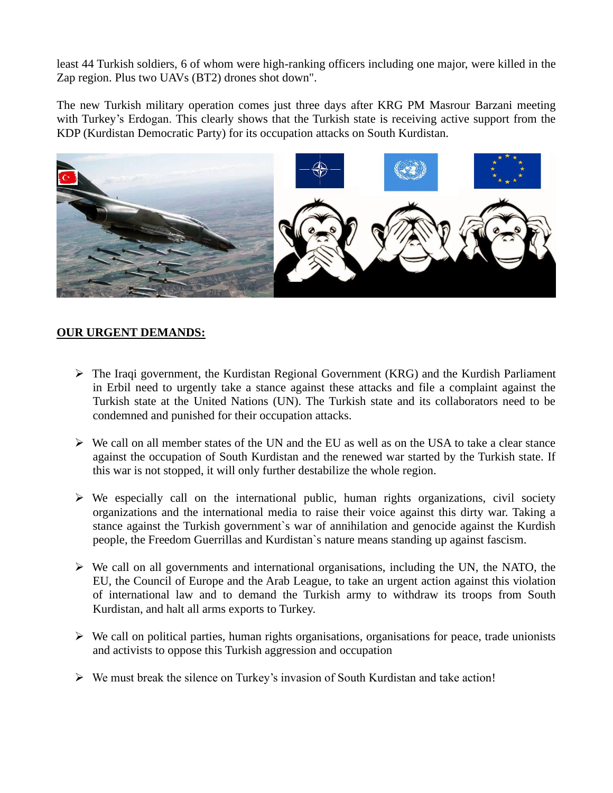least 44 Turkish soldiers, 6 of whom were high-ranking officers including one major, were killed in the Zap region. Plus two UAVs (BT2) drones shot down".

The new Turkish military operation comes just three days after KRG PM Masrour Barzani meeting with Turkey's Erdogan. This clearly shows that the Turkish state is receiving active support from the KDP (Kurdistan Democratic Party) for its occupation attacks on South Kurdistan.



### **OUR URGENT DEMANDS:**

- ➢ The Iraqi government, the Kurdistan Regional Government (KRG) and the Kurdish Parliament in Erbil need to urgently take a stance against these attacks and file a complaint against the Turkish state at the United Nations (UN). The Turkish state and its collaborators need to be condemned and punished for their occupation attacks.
- ➢ We call on all member states of the UN and the EU as well as on the USA to take a clear stance against the occupation of South Kurdistan and the renewed war started by the Turkish state. If this war is not stopped, it will only further destabilize the whole region.
- $\triangleright$  We especially call on the international public, human rights organizations, civil society organizations and the international media to raise their voice against this dirty war. Taking a stance against the Turkish government`s war of annihilation and genocide against the Kurdish people, the Freedom Guerrillas and Kurdistan`s nature means standing up against fascism.
- ➢ We call on all governments and international organisations, including the UN, the NATO, the EU, the Council of Europe and the Arab League, to take an urgent action against this violation of international law and to demand the Turkish army to withdraw its troops from South Kurdistan, and halt all arms exports to Turkey.
- $\triangleright$  We call on political parties, human rights organisations, organisations for peace, trade unionists and activists to oppose this Turkish aggression and occupation
- ➢ We must break the silence on Turkey's invasion of South Kurdistan and take action!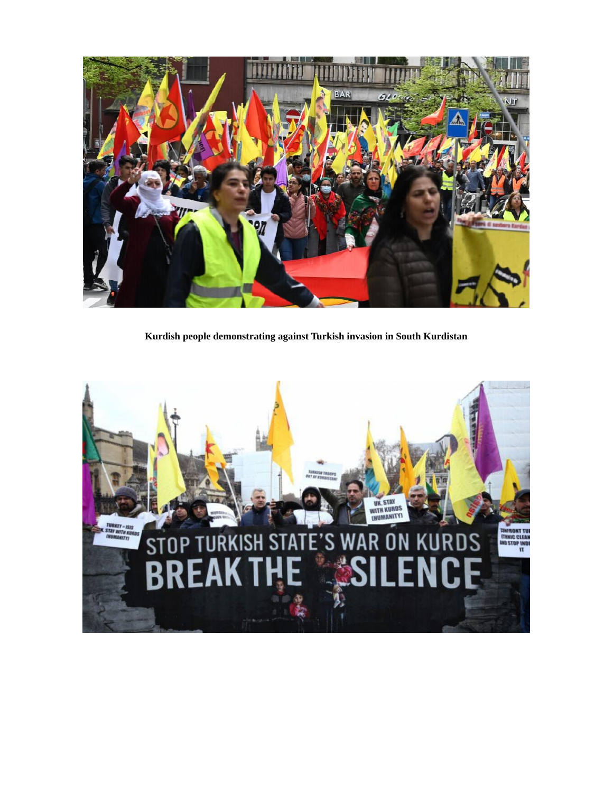

**Kurdish people demonstrating against Turkish invasion in South Kurdistan**

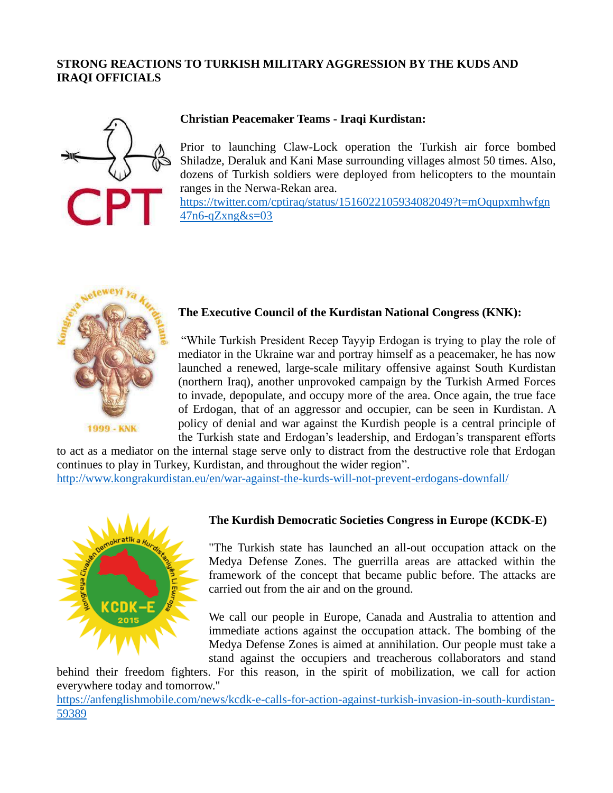## **STRONG REACTIONS TO TURKISH MILITARY AGGRESSION BY THE KUDS AND IRAQI OFFICIALS**



### **Christian Peacemaker Teams - Iraqi Kurdistan:**

Prior to launching Claw-Lock operation the Turkish air force bombed Shiladze, Deraluk and Kani Mase surrounding villages almost 50 times. Also, dozens of Turkish soldiers were deployed from helicopters to the mountain ranges in the Nerwa-Rekan area.

[https://twitter.com/cptiraq/status/1516022105934082049?t=mOqupxmhwfgn](https://twitter.com/cptiraq/status/1516022105934082049?t=mOqupxmhwfgn47n6-qZxng&s=03) [47n6-qZxng&s=03](https://twitter.com/cptiraq/status/1516022105934082049?t=mOqupxmhwfgn47n6-qZxng&s=03)



### **The Executive Council of the Kurdistan National Congress (KNK):**

"While Turkish President Recep Tayyip Erdogan is trying to play the role of mediator in the Ukraine war and portray himself as a peacemaker, he has now launched a renewed, large-scale military offensive against South Kurdistan (northern Iraq), another unprovoked campaign by the Turkish Armed Forces to invade, depopulate, and occupy more of the area. Once again, the true face of Erdogan, that of an aggressor and occupier, can be seen in Kurdistan. A policy of denial and war against the Kurdish people is a central principle of the Turkish state and Erdogan's leadership, and Erdogan's transparent efforts

to act as a mediator on the internal stage serve only to distract from the destructive role that Erdogan continues to play in Turkey, Kurdistan, and throughout the wider region".

<http://www.kongrakurdistan.eu/en/war-against-the-kurds-will-not-prevent-erdogans-downfall/>



#### **The Kurdish Democratic Societies Congress in Europe (KCDK-E)**

"The Turkish state has launched an all-out occupation attack on the Medya Defense Zones. The guerrilla areas are attacked within the framework of the concept that became public before. The attacks are carried out from the air and on the ground.

We call our people in Europe, Canada and Australia to attention and immediate actions against the occupation attack. The bombing of the Medya Defense Zones is aimed at annihilation. Our people must take a stand against the occupiers and treacherous collaborators and stand

behind their freedom fighters. For this reason, in the spirit of mobilization, we call for action everywhere today and tomorrow."

[https://anfenglishmobile.com/news/kcdk-e-calls-for-action-against-turkish-invasion-in-south-kurdistan-](https://anfenglishmobile.com/news/kcdk-e-calls-for-action-against-turkish-invasion-in-south-kurdistan-59389)[59389](https://anfenglishmobile.com/news/kcdk-e-calls-for-action-against-turkish-invasion-in-south-kurdistan-59389)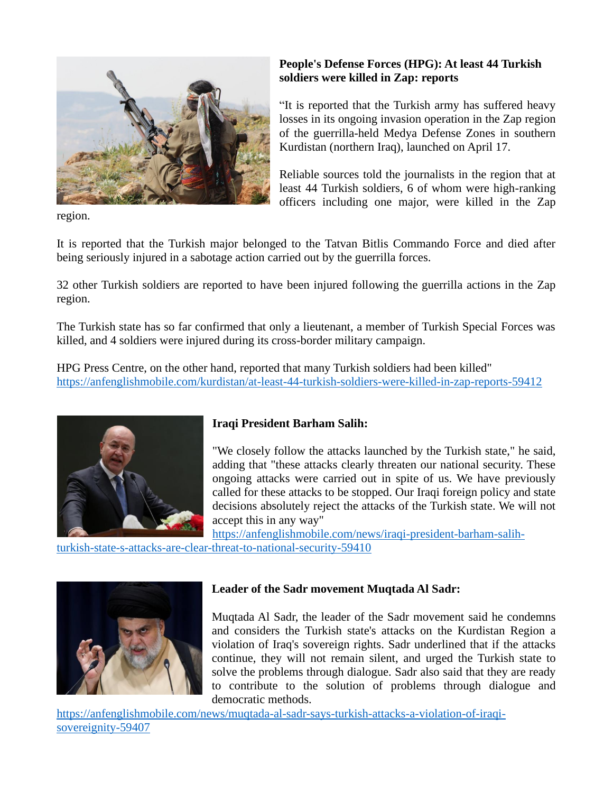

region.

## **People's Defense Forces (HPG): At least 44 Turkish soldiers were killed in Zap: reports**

"It is reported that the Turkish army has suffered heavy losses in its ongoing invasion operation in the Zap region of the guerrilla-held Medya Defense Zones in southern Kurdistan (northern Iraq), launched on April 17.

Reliable sources told the journalists in the region that at least 44 Turkish soldiers, 6 of whom were high-ranking officers including one major, were killed in the Zap

It is reported that the Turkish major belonged to the Tatvan Bitlis Commando Force and died after being seriously injured in a sabotage action carried out by the guerrilla forces.

32 other Turkish soldiers are reported to have been injured following the guerrilla actions in the Zap region.

The Turkish state has so far confirmed that only a lieutenant, a member of Turkish Special Forces was killed, and 4 soldiers were injured during its cross-border military campaign.

HPG Press Centre, on the other hand, reported that many Turkish soldiers had been killed" <https://anfenglishmobile.com/kurdistan/at-least-44-turkish-soldiers-were-killed-in-zap-reports-59412>



## **Iraqi President Barham Salih:**

"We closely follow the attacks launched by the Turkish state," he said, adding that "these attacks clearly threaten our national security. These ongoing attacks were carried out in spite of us. We have previously called for these attacks to be stopped. Our Iraqi foreign policy and state decisions absolutely reject the attacks of the Turkish state. We will not accept this in any way"

[https://anfenglishmobile.com/news/iraqi-president-barham-salih-](https://anfenglishmobile.com/news/iraqi-president-barham-salih-turkish-state-s-attacks-are-clear-threat-to-national-security-59410)

[turkish-state-s-attacks-are-clear-threat-to-national-security-59410](https://anfenglishmobile.com/news/iraqi-president-barham-salih-turkish-state-s-attacks-are-clear-threat-to-national-security-59410)



## **Leader of the Sadr movement Muqtada Al Sadr:**

Muqtada Al Sadr, the leader of the Sadr movement said he condemns and considers the Turkish state's attacks on the Kurdistan Region a violation of Iraq's sovereign rights. Sadr underlined that if the attacks continue, they will not remain silent, and urged the Turkish state to solve the problems through dialogue. Sadr also said that they are ready to contribute to the solution of problems through dialogue and democratic methods.

[https://anfenglishmobile.com/news/muqtada-al-sadr-says-turkish-attacks-a-violation-of-iraqi](https://anfenglishmobile.com/news/muqtada-al-sadr-says-turkish-attacks-a-violation-of-iraqi-sovereignity-59407)[sovereignity-59407](https://anfenglishmobile.com/news/muqtada-al-sadr-says-turkish-attacks-a-violation-of-iraqi-sovereignity-59407)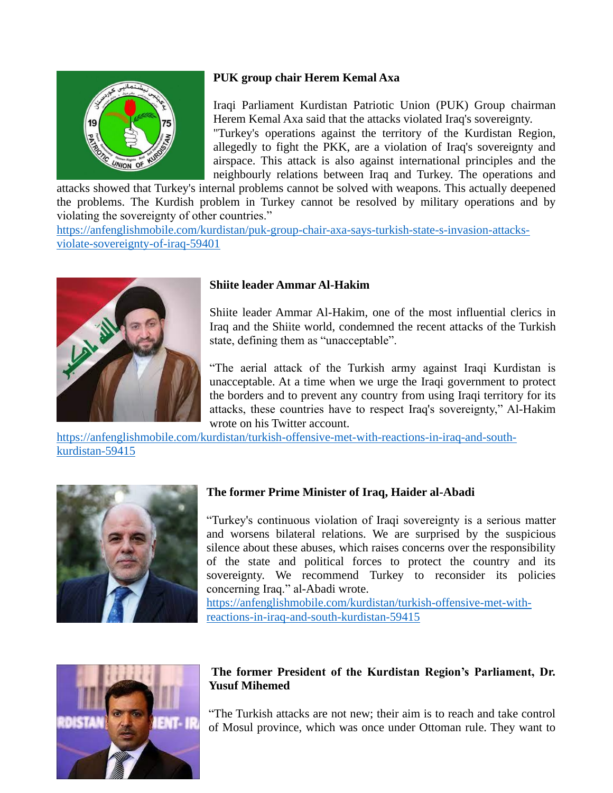

## **PUK group chair Herem Kemal Axa**

Iraqi Parliament Kurdistan Patriotic Union (PUK) Group chairman Herem Kemal Axa said that the attacks violated Iraq's sovereignty. "Turkey's operations against the territory of the Kurdistan Region, allegedly to fight the PKK, are a violation of Iraq's sovereignty and airspace. This attack is also against international principles and the neighbourly relations between Iraq and Turkey. The operations and

attacks showed that Turkey's internal problems cannot be solved with weapons. This actually deepened the problems. The Kurdish problem in Turkey cannot be resolved by military operations and by violating the sovereignty of other countries."

[https://anfenglishmobile.com/kurdistan/puk-group-chair-axa-says-turkish-state-s-invasion-attacks](https://anfenglishmobile.com/kurdistan/puk-group-chair-axa-says-turkish-state-s-invasion-attacks-violate-sovereignty-of-iraq-59401)[violate-sovereignty-of-iraq-59401](https://anfenglishmobile.com/kurdistan/puk-group-chair-axa-says-turkish-state-s-invasion-attacks-violate-sovereignty-of-iraq-59401)



## **Shiite leader Ammar Al-Hakim**

Shiite leader Ammar Al-Hakim, one of the most influential clerics in Iraq and the Shiite world, condemned the recent attacks of the Turkish state, defining them as "unacceptable".

"The aerial attack of the Turkish army against Iraqi Kurdistan is unacceptable. At a time when we urge the Iraqi government to protect the borders and to prevent any country from using Iraqi territory for its attacks, these countries have to respect Iraq's sovereignty," Al-Hakim wrote on his Twitter account.

[https://anfenglishmobile.com/kurdistan/turkish-offensive-met-with-reactions-in-iraq-and-south](https://anfenglishmobile.com/kurdistan/turkish-offensive-met-with-reactions-in-iraq-and-south-kurdistan-59415)[kurdistan-59415](https://anfenglishmobile.com/kurdistan/turkish-offensive-met-with-reactions-in-iraq-and-south-kurdistan-59415)



# **The former Prime Minister of Iraq, Haider al-Abadi**

"Turkey's continuous violation of Iraqi sovereignty is a serious matter and worsens bilateral relations. We are surprised by the suspicious silence about these abuses, which raises concerns over the responsibility of the state and political forces to protect the country and its sovereignty. We recommend Turkey to reconsider its policies concerning Iraq." al-Abadi wrote. [https://anfenglishmobile.com/kurdistan/turkish-offensive-met-with](https://anfenglishmobile.com/kurdistan/turkish-offensive-met-with-reactions-in-iraq-and-south-kurdistan-59415)[reactions-in-iraq-and-south-kurdistan-59415](https://anfenglishmobile.com/kurdistan/turkish-offensive-met-with-reactions-in-iraq-and-south-kurdistan-59415)



## **The former President of the Kurdistan Region's Parliament, Dr. Yusuf Mihemed**

"The Turkish attacks are not new; their aim is to reach and take control of Mosul province, which was once under Ottoman rule. They want to